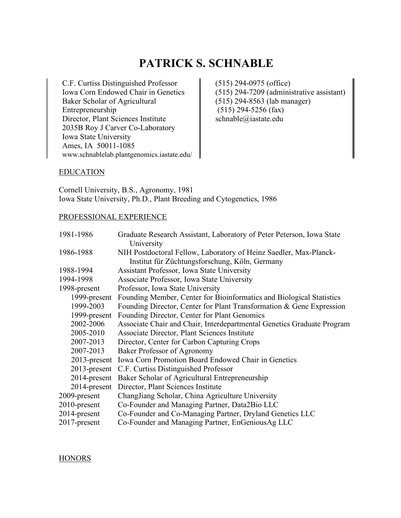# **PATRICK S. SCHNABLE**

C.F. Curtiss Distinguished Professor Iowa Corn Endowed Chair in Genetics Baker Scholar of Agricultural Entrepreneurship Director, Plant Sciences Institute 2035B Roy J Carver Co-Laboratory Iowa State University Ames, IA 50011-1085 www.schnablelab.plantgenomics.iastate.edu/ (515) 294-0975 (office) (515) 294-7209 (administrative assistant) (515) 294-8563 (lab manager) (515) 294-5256 (fax) schnable@iastate.edu

#### EDUCATION

Cornell University, B.S., Agronomy, 1981 Iowa State University, Ph.D., Plant Breeding and Cytogenetics, 1986

#### PROFESSIONAL EXPERIENCE

| 1981-1986       | Graduate Research Assistant, Laboratory of Peter Peterson, Iowa State  |
|-----------------|------------------------------------------------------------------------|
|                 | University                                                             |
| 1986-1988       | NIH Postdoctoral Fellow, Laboratory of Heinz Saedler, Max-Planck-      |
|                 | Institut für Züchtungsforschung, Köln, Germany                         |
| 1988-1994       | Assistant Professor, Iowa State University                             |
| 1994-1998       | Associate Professor, Iowa State University                             |
| 1998-present    | Professor, Iowa State University                                       |
| 1999-present    | Founding Member, Center for Bioinformatics and Biological Statistics   |
| 1999-2003       | Founding Director, Center for Plant Transformation & Gene Expression   |
| 1999-present    | Founding Director, Center for Plant Genomics                           |
| 2002-2006       | Associate Chair and Chair, Interdepartmental Genetics Graduate Program |
| 2005-2010       | Associate Director, Plant Sciences Institute                           |
| 2007-2013       | Director, Center for Carbon Capturing Crops                            |
| 2007-2013       | Baker Professor of Agronomy                                            |
| 2013-present    | Iowa Corn Promotion Board Endowed Chair in Genetics                    |
|                 | 2013-present C.F. Curtiss Distinguished Professor                      |
| 2014-present    | Baker Scholar of Agricultural Entrepreneurship                         |
| 2014-present    | Director, Plant Sciences Institute                                     |
| 2009-present    | ChangJiang Scholar, China Agriculture University                       |
| $2010$ -present | Co-Founder and Managing Partner, Data2Bio LLC                          |
| 2014-present    | Co-Founder and Co-Managing Partner, Dryland Genetics LLC               |
| 2017-present    | Co-Founder and Managing Partner, EnGeniousAg LLC                       |

#### **HONORS**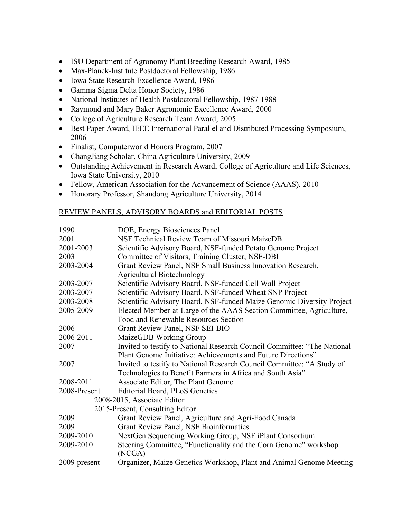- ISU Department of Agronomy Plant Breeding Research Award, 1985
- Max-Planck-Institute Postdoctoral Fellowship, 1986
- Iowa State Research Excellence Award, 1986
- Gamma Sigma Delta Honor Society, 1986
- National Institutes of Health Postdoctoral Fellowship, 1987-1988
- Raymond and Mary Baker Agronomic Excellence Award, 2000
- College of Agriculture Research Team Award, 2005
- Best Paper Award, IEEE International Parallel and Distributed Processing Symposium, 2006
- Finalist, Computerworld Honors Program, 2007
- ChangJiang Scholar, China Agriculture University, 2009
- Outstanding Achievement in Research Award, College of Agriculture and Life Sciences, Iowa State University, 2010
- Fellow, American Association for the Advancement of Science (AAAS), 2010
- Honorary Professor, Shandong Agriculture University, 2014

### REVIEW PANELS, ADVISORY BOARDS and EDITORIAL POSTS

| 1990                        | DOE, Energy Biosciences Panel                                            |
|-----------------------------|--------------------------------------------------------------------------|
| 2001                        | NSF Technical Review Team of Missouri MaizeDB                            |
| 2001-2003                   | Scientific Advisory Board, NSF-funded Potato Genome Project              |
| 2003                        | Committee of Visitors, Training Cluster, NSF-DBI                         |
| 2003-2004                   | Grant Review Panel, NSF Small Business Innovation Research,              |
|                             | <b>Agricultural Biotechnology</b>                                        |
| 2003-2007                   | Scientific Advisory Board, NSF-funded Cell Wall Project                  |
| 2003-2007                   | Scientific Advisory Board, NSF-funded Wheat SNP Project                  |
| 2003-2008                   | Scientific Advisory Board, NSF-funded Maize Genomic Diversity Project    |
| 2005-2009                   | Elected Member-at-Large of the AAAS Section Committee, Agriculture,      |
|                             | Food and Renewable Resources Section                                     |
| 2006                        | Grant Review Panel, NSF SEI-BIO                                          |
| 2006-2011                   | MaizeGDB Working Group                                                   |
| 2007                        | Invited to testify to National Research Council Committee: "The National |
|                             | Plant Genome Initiative: Achievements and Future Directions"             |
| 2007                        | Invited to testify to National Research Council Committee: "A Study of   |
|                             | Technologies to Benefit Farmers in Africa and South Asia"                |
| 2008-2011                   | Associate Editor, The Plant Genome                                       |
| 2008-Present                | Editorial Board, PLoS Genetics                                           |
| 2008-2015, Associate Editor |                                                                          |
|                             | 2015-Present, Consulting Editor                                          |
| 2009                        | Grant Review Panel, Agriculture and Agri-Food Canada                     |
| 2009                        | <b>Grant Review Panel, NSF Bioinformatics</b>                            |
| 2009-2010                   | NextGen Sequencing Working Group, NSF iPlant Consortium                  |
| 2009-2010                   | Steering Committee, "Functionality and the Corn Genome" workshop         |
|                             | (NCGA)                                                                   |
| 2009-present                | Organizer, Maize Genetics Workshop, Plant and Animal Genome Meeting      |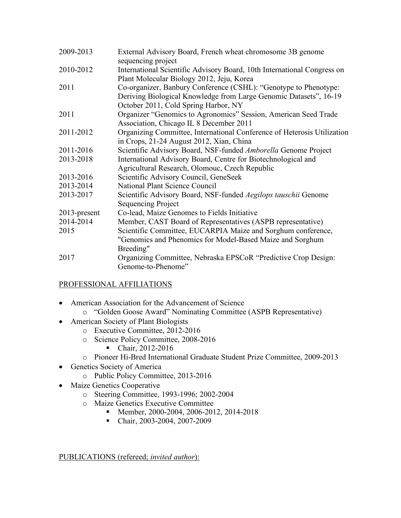| 2009-2013    | External Advisory Board, French wheat chromosome 3B genome                                                    |
|--------------|---------------------------------------------------------------------------------------------------------------|
|              | sequencing project                                                                                            |
| 2010-2012    | International Scientific Advisory Board, 10th International Congress on                                       |
| 2011         | Plant Molecular Biology 2012, Jeju, Korea<br>Co-organizer, Banbury Conference (CSHL): "Genotype to Phenotype: |
|              | Deriving Biological Knowledge from Large Genomic Datasets", 16-19                                             |
|              | October 2011, Cold Spring Harbor, NY                                                                          |
| 2011         | Organizer "Genomics to Agronomics" Session, American Seed Trade                                               |
|              | Association, Chicago IL 8 December 2011                                                                       |
| 2011-2012    | Organizing Committee, International Conference of Heterosis Utilization                                       |
|              | in Crops, 21-24 August 2012, Xian, China                                                                      |
| 2011-2016    | Scientific Advisory Board, NSF-funded Amborella Genome Project                                                |
| 2013-2018    | International Advisory Board, Centre for Biotechnological and                                                 |
|              | Agricultural Research, Olomouc, Czech Republic                                                                |
| 2013-2016    | Scientific Advisory Council, GeneSeek                                                                         |
| 2013-2014    | National Plant Science Council                                                                                |
| 2013-2017    | Scientific Advisory Board, NSF-funded Aegilops tauschii Genome                                                |
|              | Sequencing Project                                                                                            |
| 2013-present | Co-lead, Maize Genomes to Fields Initiative                                                                   |
| 2014-2014    | Member, CAST Board of Representatives (ASPB representative)                                                   |
| 2015         | Scientific Committee, EUCARPIA Maize and Sorghum conference,                                                  |
|              | "Genomics and Phenomics for Model-Based Maize and Sorghum                                                     |
|              | Breeding"                                                                                                     |
| 2017         | Organizing Committee, Nebraska EPSCoR "Predictive Crop Design:                                                |
|              | Genome-to-Phenome"                                                                                            |

## PROFESSIONAL AFFILIATIONS

- American Association for the Advancement of Science o "Golden Goose Award" Nominating Committee (ASPB Representative)
- American Society of Plant Biologists
	- o Executive Committee, 2012-2016
	- o Science Policy Committee, 2008-2016
		- Chair, 2012-2016
	- o Pioneer Hi-Bred International Graduate Student Prize Committee, 2009-2013
- Genetics Society of America
	- o Public Policy Committee, 2013-2016
- Maize Genetics Cooperative
	- o Steering Committee, 1993-1996; 2002-2004
	- o Maize Genetics Executive Committee
		- Member, 2000-2004, 2006-2012, 2014-2018
		- Chair, 2003-2004, 2007-2009

PUBLICATIONS (refereed; *invited author*):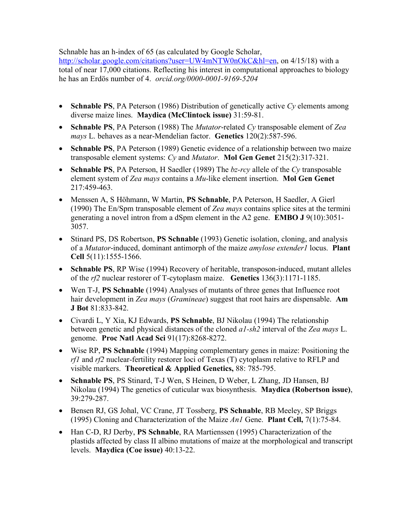Schnable has an h-index of 65 (as calculated by Google Scholar,

http://scholar.google.com/citations?user=UW4mNTW0nOkC&hl=en, on 4/15/18) with a total of near 17,000 citations. Reflecting his interest in computational approaches to biology he has an Erdös number of 4. *orcid.org/0000-0001-9169-5204*

- **Schnable PS**, PA Peterson (1986) Distribution of genetically active *Cy* elements among diverse maize lines. **Maydica (McClintock issue)** 31:59-81.
- **Schnable PS**, PA Peterson (1988) The *Mutator*-related *Cy* transposable element of *Zea mays* L. behaves as a near-Mendelian factor. **Genetics** 120(2):587-596.
- **Schnable PS**, PA Peterson (1989) Genetic evidence of a relationship between two maize transposable element systems: *Cy* and *Mutator*. **Mol Gen Genet** 215(2):317-321.
- **Schnable PS**, PA Peterson, H Saedler (1989) The *bz-rcy* allele of the *Cy* transposable element system of *Zea mays* contains a *Mu*-like element insertion. **Mol Gen Genet** 217:459-463.
- Menssen A, S Höhmann, W Martin, **PS Schnable**, PA Peterson, H Saedler, A Gierl (1990) The En/Spm transposable element of *Zea mays* contains splice sites at the termini generating a novel intron from a dSpm element in the A2 gene. **EMBO J** 9(10):3051- 3057.
- Stinard PS, DS Robertson, **PS Schnable** (1993) Genetic isolation, cloning, and analysis of a *Mutator*-induced, dominant antimorph of the maize *amylose extender1* locus. **Plant Cell** 5(11):1555-1566.
- **Schnable PS**, RP Wise (1994) Recovery of heritable, transposon-induced, mutant alleles of the *rf2* nuclear restorer of T-cytoplasm maize. **Genetics** 136(3):1171-1185.
- Wen T-J, **PS Schnable** (1994) Analyses of mutants of three genes that Influence root hair development in *Zea mays* (*Gramineae*) suggest that root hairs are dispensable. **Am J Bot** 81:833-842.
- Civardi L, Y Xia, KJ Edwards, **PS Schnable**, BJ Nikolau (1994) The relationship between genetic and physical distances of the cloned *a1-sh2* interval of the *Zea mays* L. genome. **Proc Natl Acad Sci** 91(17):8268-8272.
- Wise RP, **PS Schnable** (1994) Mapping complementary genes in maize: Positioning the *rf1* and *rf2* nuclear-fertility restorer loci of Texas (T) cytoplasm relative to RFLP and visible markers. **Theoretical & Applied Genetics,** 88: 785-795.
- **Schnable PS**, PS Stinard, T-J Wen, S Heinen, D Weber, L Zhang, JD Hansen, BJ Nikolau (1994) The genetics of cuticular wax biosynthesis. **Maydica (Robertson issue)**, 39:279-287.
- Bensen RJ, GS Johal, VC Crane, JT Tossberg, **PS Schnable**, RB Meeley, SP Briggs (1995) Cloning and Characterization of the Maize *An1* Gene. **Plant Cell,** 7(1):75-84.
- Han C-D, RJ Derby, **PS Schnable**, RA Martienssen (1995) Characterization of the plastids affected by class II albino mutations of maize at the morphological and transcript levels. **Maydica (Coe issue)** 40:13-22.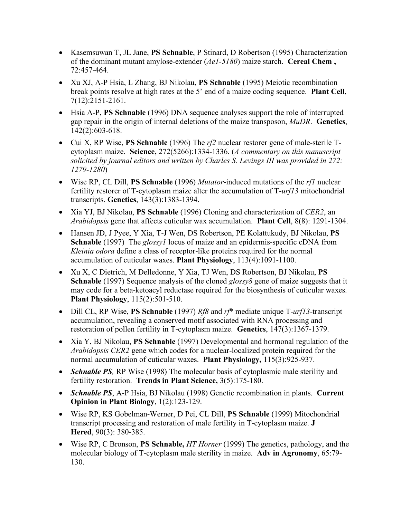- Kasemsuwan T, JL Jane, **PS Schnable**, P Stinard, D Robertson (1995) Characterization of the dominant mutant amylose-extender (*Ae1-5180*) maize starch. **Cereal Chem ,** 72:457-464.
- Xu XJ, A-P Hsia, L Zhang, BJ Nikolau, **PS Schnable** (1995) Meiotic recombination break points resolve at high rates at the 5' end of a maize coding sequence. **Plant Cell**, 7(12):2151-2161.
- Hsia A-P, **PS Schnable** (1996) DNA sequence analyses support the role of interrupted gap repair in the origin of internal deletions of the maize transposon, *MuDR*.**Genetics**, 142(2):603-618.
- Cui X, RP Wise, **PS Schnable** (1996) The *rf2* nuclear restorer gene of male-sterile Tcytoplasm maize. **Science,** 272(5266):1334-1336. (*A commentary on this manuscript solicited by journal editors and written by Charles S. Levings III was provided in 272: 1279-1280*)
- Wise RP, CL Dill, **PS Schnable** (1996) *Mutator*-induced mutations of the *rf1* nuclear fertility restorer of T-cytoplasm maize alter the accumulation of T-*urf13* mitochondrial transcripts. **Genetics**, 143(3):1383-1394.
- Xia YJ, BJ Nikolau, **PS Schnable** (1996) Cloning and characterization of *CER2*, an *Arabidopsis* gene that affects cuticular wax accumulation. **Plant Cell**, 8(8): 1291-1304.
- Hansen JD, J Pyee, Y Xia, T-J Wen, DS Robertson, PE Kolattukudy, BJ Nikolau, **PS Schnable** (1997) The *glossy1* locus of maize and an epidermis-specific cDNA from *Kleinia odora* define a class of receptor-like proteins required for the normal accumulation of cuticular waxes. **Plant Physiology**, 113(4):1091-1100.
- Xu X, C Dietrich, M Delledonne, Y Xia, TJ Wen, DS Robertson, BJ Nikolau, **PS Schnable** (1997) Sequence analysis of the cloned *glossy8* gene of maize suggests that it may code for a beta-ketoacyl reductase required for the biosynthesis of cuticular waxes. **Plant Physiology**, 115(2):501-510.
- Dill CL, RP Wise, **PS Schnable** (1997) *Rf8* and *rf*\* mediate unique T-*urf13*-transcript accumulation, revealing a conserved motif associated with RNA processing and restoration of pollen fertility in T-cytoplasm maize. **Genetics**, 147(3):1367-1379.
- Xia Y, BJ Nikolau, **PS Schnable** (1997) Developmental and hormonal regulation of the *Arabidopsis CER2* gene which codes for a nuclear-localized protein required for the normal accumulation of cuticular waxes. **Plant Physiology,** 115(3):925-937.
- *Schnable PS*, RP Wise (1998) The molecular basis of cytoplasmic male sterility and fertility restoration. **Trends in Plant Science,** 3(5):175-180.
- *Schnable PS*, A-P Hsia, BJ Nikolau (1998) Genetic recombination in plants. **Current Opinion in Plant Biology**, 1(2):123-129.
- Wise RP, KS Gobelman-Werner, D Pei, CL Dill, **PS Schnable** (1999) Mitochondrial transcript processing and restoration of male fertility in T-cytoplasm maize. **J Hered**, 90(3): 380-385.
- Wise RP, C Bronson, **PS Schnable,** *HT Horner* (1999) The genetics, pathology, and the molecular biology of T-cytoplasm male sterility in maize. **Adv in Agronomy**, 65:79- 130.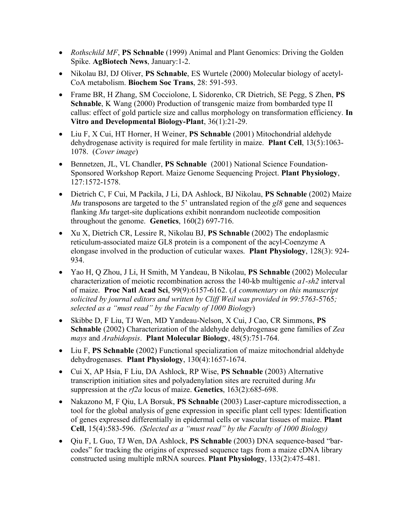- *Rothschild MF*, **PS Schnable** (1999) Animal and Plant Genomics: Driving the Golden Spike. **AgBiotech News**, January:1-2.
- Nikolau BJ, DJ Oliver, **PS Schnable**, ES Wurtele (2000) Molecular biology of acetyl-CoA metabolism. **Biochem Soc Trans**, 28: 591-593.
- Frame BR, H Zhang, SM Cocciolone, L Sidorenko, CR Dietrich, SE Pegg, S Zhen, **PS Schnable**, K Wang (2000) Production of transgenic maize from bombarded type II callus: effect of gold particle size and callus morphology on transformation efficiency. **In Vitro and Developmental Biology-Plant**, 36(1):21-29.
- Liu F, X Cui, HT Horner, H Weiner, **PS Schnable** (2001) Mitochondrial aldehyde dehydrogenase activity is required for male fertility in maize. **Plant Cell**, 13(5):1063- 1078. (*Cover image*)
- Bennetzen, JL, VL Chandler, **PS Schnable** (2001) National Science Foundation-Sponsored Workshop Report. Maize Genome Sequencing Project. **Plant Physiology**, 127:1572-1578.
- Dietrich C, F Cui, M Packila, J Li, DA Ashlock, BJ Nikolau, **PS Schnable** (2002) Maize *Mu* transposons are targeted to the 5' untranslated region of the *gl8* gene and sequences flanking *Mu* target-site duplications exhibit nonrandom nucleotide composition throughout the genome. **Genetics**, 160(2) 697-716.
- Xu X, Dietrich CR, Lessire R, Nikolau BJ, **PS Schnable** (2002) The endoplasmic reticulum-associated maize GL8 protein is a component of the acyl-Coenzyme A elongase involved in the production of cuticular waxes. **Plant Physiology**, 128(3): 924- 934.
- Yao H, Q Zhou, J Li, H Smith, M Yandeau, B Nikolau, **PS Schnable** (2002) Molecular characterization of meiotic recombination across the 140-kb multigenic *a1-sh2* interval of maize. **Proc Natl Acad Sci**, 99(9):6157-6162. (*A commentary on this manuscript solicited by journal editors and written by Cliff Weil was provided in 99:5763-*5765*; selected as a "must read" by the Faculty of 1000 Biology*)
- Skibbe D, F Liu, TJ Wen, MD Yandeau-Nelson, X Cui, J Cao, CR Simmons, **PS Schnable** (2002) Characterization of the aldehyde dehydrogenase gene families of *Zea mays* and *Arabidopsis*. **Plant Molecular Biology**, 48(5):751-764.
- Liu F, **PS Schnable** (2002) Functional specialization of maize mitochondrial aldehyde dehydrogenases. **Plant Physiology**, 130(4):1657-1674.
- Cui X, AP Hsia, F Liu, DA Ashlock, RP Wise, **PS Schnable** (2003) Alternative transcription initiation sites and polyadenylation sites are recruited during *Mu* suppression at the *rf2a* locus of maize. **Genetics**, 163(2):685-698.
- Nakazono M, F Qiu, LA Borsuk, **PS Schnable** (2003) Laser-capture microdissection, a tool for the global analysis of gene expression in specific plant cell types: Identification of genes expressed differentially in epidermal cells or vascular tissues of maize. **Plant Cell**, 15(4):583-596. *(Selected as a "must read" by the Faculty of 1000 Biology)*
- Qiu F, L Guo, TJ Wen, DA Ashlock, **PS Schnable** (2003) DNA sequence-based "barcodes" for tracking the origins of expressed sequence tags from a maize cDNA library constructed using multiple mRNA sources. **Plant Physiology**, 133(2):475-481.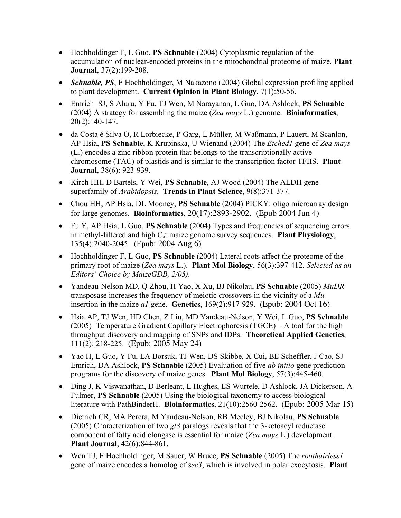- Hochholdinger F, L Guo, **PS Schnable** (2004) Cytoplasmic regulation of the accumulation of nuclear-encoded proteins in the mitochondrial proteome of maize. **Plant Journal**, 37(2):199-208.
- *Schnable, PS*, F Hochholdinger, M Nakazono (2004) Global expression profiling applied to plant development. **Current Opinion in Plant Biology**, 7(1):50-56.
- Emrich SJ, S Aluru, Y Fu, TJ Wen, M Narayanan, L Guo, DA Ashlock, **PS Schnable** (2004) A strategy for assembling the maize (*Zea mays* L.) genome. **Bioinformatics**, 20(2):140-147.
- da Costa é Silva O, R Lorbiecke, P Garg, L Müller, M Waßmann, P Lauert, M Scanlon, AP Hsia, **PS Schnable**, K Krupinska, U Wienand (2004) The *Etched1* gene of *Zea mays*  (L.) encodes a zinc ribbon protein that belongs to the transcriptionally active chromosome (TAC) of plastids and is similar to the transcription factor TFIIS. **Plant Journal**, 38(6): 923-939.
- Kirch HH, D Bartels, Y Wei, **PS Schnable**, AJ Wood (2004) The ALDH gene superfamily of *Arabidopsis*. **Trends in Plant Science**, 9(8):371-377.
- Chou HH, AP Hsia, DL Mooney, **PS Schnable** (2004) PICKY: oligo microarray design for large genomes. **Bioinformatics**, 20(17):2893-2902. (Epub 2004 Jun 4)
- Fu Y, AP Hsia, L Guo, **PS Schnable** (2004) Types and frequencies of sequencing errors in methyl-filtered and high Cot maize genome survey sequences. **Plant Physiology**, 135(4):2040-2045. (Epub: 2004 Aug 6)
- Hochholdinger F, L Guo, **PS Schnable** (2004) Lateral roots affect the proteome of the primary root of maize (*Zea mays* L.). **Plant Mol Biology**, 56(3):397-412. *Selected as an Editors' Choice by MaizeGDB, 2/05).*
- Yandeau-Nelson MD, Q Zhou, H Yao, X Xu, BJ Nikolau, **PS Schnable** (2005) *MuDR*  transposase increases the frequency of meiotic crossovers in the vicinity of a *Mu*  insertion in the maize *a1* gene. **Genetics**, 169(2):917-929. (Epub: 2004 Oct 16)
- Hsia AP, TJ Wen, HD Chen, Z Liu, MD Yandeau-Nelson, Y Wei, L Guo, **PS Schnable** (2005) Temperature Gradient Capillary Electrophoresis (TGCE) – A tool for the high throughput discovery and mapping of SNPs and IDPs. **Theoretical Applied Genetics**, 111(2): 218-225. (Epub: 2005 May 24)
- Yao H, L Guo, Y Fu, LA Borsuk, TJ Wen, DS Skibbe, X Cui, BE Scheffler, J Cao, SJ Emrich, DA Ashlock, **PS Schnable** (2005) Evaluation of five *ab initio* gene prediction programs for the discovery of maize genes. **Plant Mol Biology**, 57(3):445-460.
- Ding J, K Viswanathan, D Berleant, L Hughes, ES Wurtele, D Ashlock, JA Dickerson, A Fulmer, **PS Schnable** (2005) Using the biological taxonomy to access biological literature with PathBinderH. **Bioinformatics**, 21(10):2560-2562. (Epub: 2005 Mar 15)
- Dietrich CR, MA Perera, M Yandeau-Nelson, RB Meeley, BJ Nikolau, **PS Schnable** (2005) Characterization of two *gl8* paralogs reveals that the 3-ketoacyl reductase component of fatty acid elongase is essential for maize (*Zea mays* L.) development. **Plant Journal**, 42(6):844-861.
- Wen TJ, F Hochholdinger, M Sauer, W Bruce, **PS Schnable** (2005) The *roothairless1* gene of maize encodes a homolog of s*ec3*, which is involved in polar exocytosis. **Plant**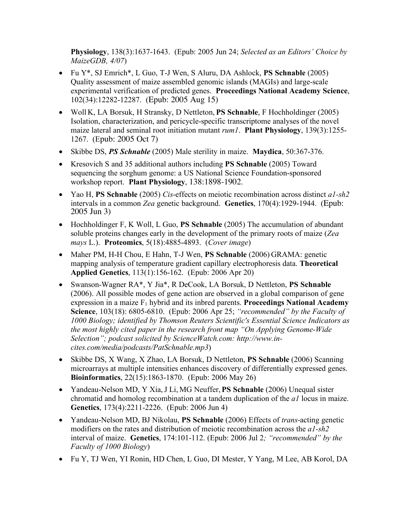**Physiology**, 138(3):1637-1643. (Epub: 2005 Jun 24; *Selected as an Editors' Choice by MaizeGDB, 4/07*)

- Fu Y\*, SJ Emrich\*, L Guo, T-J Wen, S Aluru, DA Ashlock, **PS Schnable** (2005) Quality assessment of maize assembled genomic islands (MAGIs) and large-scale experimental verification of predicted genes. **Proceedings National Academy Science**, 102(34):12282-12287. (Epub: 2005 Aug 15)
- Woll K, LA Borsuk, H Stransky, D Nettleton, **PS Schnable**, F Hochholdinger (2005) Isolation, characterization, and pericycle-specific transcriptome analyses of the novel maize lateral and seminal root initiation mutant *rum1*. **Plant Physiology**, 139(3):1255- 1267. (Epub: 2005 Oct 7)
- Skibbe DS, *PS Schnable* (2005) Male sterility in maize. **Maydica**, 50:367-376.
- Kresovich S and 35 additional authors including **PS Schnable** (2005) Toward sequencing the sorghum genome: a US National Science Foundation-sponsored workshop report. **Plant Physiology**, 138:1898-1902.
- Yao H, **PS Schnable** (2005) *Cis*-effects on meiotic recombination across distinct *a1-sh2*  intervals in a common *Zea* genetic background. **Genetics**, 170(4):1929-1944. (Epub: 2005 Jun 3)
- Hochholdinger F, K Woll, L Guo, **PS Schnable** (2005) The accumulation of abundant soluble proteins changes early in the development of the primary roots of maize (*Zea mays* L.). **Proteomics**, 5(18):4885-4893. (*Cover image*)
- Maher PM, H-H Chou, E Hahn, T-J Wen, **PS Schnable** (2006) GRAMA: genetic mapping analysis of temperature gradient capillary electrophoresis data. **Theoretical Applied Genetics**, 113(1):156-162. (Epub: 2006 Apr 20)
- Swanson-Wagner RA\*, Y Jia\*, R DeCook, LA Borsuk, D Nettleton, **PS Schnable** (2006). All possible modes of gene action are observed in a global comparison of gene expression in a maize F<sub>1</sub> hybrid and its inbred parents. **Proceedings National Academy Science**, 103(18): 6805-6810. (Epub: 2006 Apr 25; *"recommended" by the Faculty of 1000 Biology; identified by Thomson Reuters Scientific's Essential Science Indicators as the most highly cited paper in the research front map "On Applying Genome-Wide Selection"; podcast solicited by ScienceWatch.com: http://www.incites.com/media/podcasts/PatSchnable.mp3*)
- Skibbe DS, X Wang, X Zhao, LA Borsuk, D Nettleton, **PS Schnable** (2006) Scanning microarrays at multiple intensities enhances discovery of differentially expressed genes. **Bioinformatics**, 22(15):1863-1870. (Epub: 2006 May 26)
- Yandeau-Nelson MD, Y Xia,J Li, MG Neuffer,**PS Schnable** (2006) Unequal sister chromatid and homolog recombination at a tandem duplication of the *a1* locus in maize. **Genetics**, 173(4):2211-2226. (Epub: 2006 Jun 4)
- Yandeau-Nelson MD, BJ Nikolau, **PS Schnable** (2006) Effects of *trans*-acting genetic modifiers on the rates and distribution of meiotic recombination across the *a1-sh2* interval of maize. **Genetics**, 174:101-112. (Epub: 2006 Jul 2*; "recommended" by the Faculty of 1000 Biology*)
- Fu Y, TJ Wen, YI Ronin, HD Chen, L Guo, DI Mester, Y Yang, M Lee, AB Korol, DA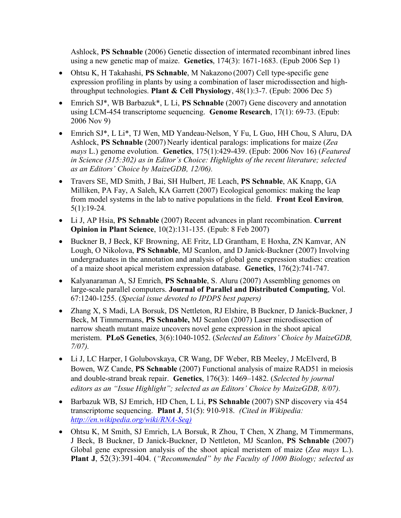Ashlock, **PS Schnable** (2006) Genetic dissection of intermated recombinant inbred lines using a new genetic map of maize. **Genetics**, 174(3): 1671-1683. (Epub 2006 Sep 1)

- Ohtsu K, H Takahashi, **PS Schnable**, M Nakazono (2007) Cell type-specific gene expression profiling in plants by using a combination of laser microdissection and highthroughput technologies. **Plant & Cell Physiology**, 48(1):3-7. (Epub: 2006 Dec 5)
- Emrich SJ\*, WB Barbazuk\*, L Li, **PS Schnable** (2007) Gene discovery and annotation using LCM-454 transcriptome sequencing. **Genome Research**, 17(1): 69-73. (Epub: 2006 Nov 9)
- Emrich SJ\*, L Li\*, TJ Wen, MD Yandeau-Nelson, Y Fu, L Guo, HH Chou, S Aluru, DA Ashlock, **PS Schnable** (2007) Nearly identical paralogs: implications for maize (*Zea mays* L.) genome evolution. **Genetics**, 175(1):429-439. (Epub: 2006 Nov 16) (*Featured in Science (315:302) as in Editor's Choice: Highlights of the recent literature; selected as an Editors' Choice by MaizeGDB, 12/06).*
- Travers SE, MD Smith, J Bai, SH Hulbert, JE Leach, **PS Schnable**, AK Knapp, GA Milliken, PA Fay, A Saleh, KA Garrett (2007) Ecological genomics: making the leap from model systems in the lab to native populations in the field. **Front Ecol Environ***,*  5(1):19-24*.*
- Li J, AP Hsia, **PS Schnable** (2007) Recent advances in plant recombination. **Current Opinion in Plant Science**, 10(2):131-135. (Epub: 8 Feb 2007)
- Buckner B, J Beck, KF Browning, AE Fritz, LD Grantham, E Hoxha, ZN Kamvar, AN Lough, O Nikolova, **PS Schnable**, MJ Scanlon, and D Janick-Buckner (2007) Involving undergraduates in the annotation and analysis of global gene expression studies: creation of a maize shoot apical meristem expression database. **Genetics**, 176(2):741-747.
- Kalyanaraman A, SJ Emrich, **PS Schnable**, S. Aluru (2007) Assembling genomes on large-scale parallel computers. **Journal of Parallel and Distributed Computing**, Vol. 67:1240-1255. (*Special issue devoted to IPDPS best papers)*
- Zhang X, S Madi, LA Borsuk, DS Nettleton, RJ Elshire, B Buckner, D Janick-Buckner, J Beck, M Timmermans, **PS Schnable,** MJ Scanlon (2007) Laser microdissection of narrow sheath mutant maize uncovers novel gene expression in the shoot apical meristem. **PLoS Genetics**, 3(6):1040-1052. (*Selected an Editors' Choice by MaizeGDB, 7/07).*
- Li J, LC Harper, I Golubovskaya, CR Wang, DF Weber, RB Meeley, J McElverd, B Bowen, WZ Cande, **PS Schnable** (2007) Functional analysis of maize RAD51 in meiosis and double-strand break repair. **Genetics**, 176(3): 1469–1482. (*Selected by journal editors as an "Issue Highlight"; selected as an Editors' Choice by MaizeGDB, 8/07).*
- Barbazuk WB, SJ Emrich, HD Chen, L Li, **PS Schnable** (2007) SNP discovery via 454 transcriptome sequencing. **Plant J**, 51(5): 910-918. *(Cited in Wikipedia: http://en.wikipedia.org/wiki/RNA-Seq)*
- Ohtsu K, M Smith, SJ Emrich, LA Borsuk, R Zhou, T Chen, X Zhang, M Timmermans, J Beck, B Buckner, D Janick-Buckner, D Nettleton, MJ Scanlon, **PS Schnable** (2007) Global gene expression analysis of the shoot apical meristem of maize (*Zea mays* L.). **Plant J**, 52(3):391-404. (*"Recommended" by the Faculty of 1000 Biology; selected as*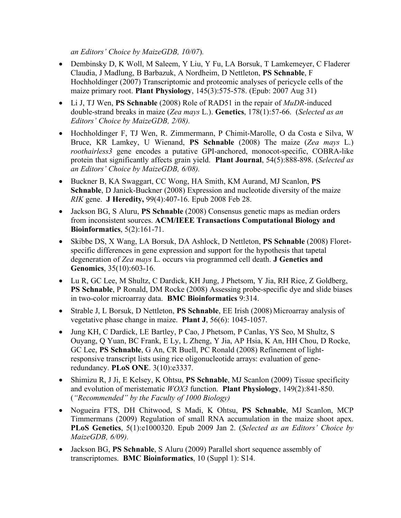*an Editors' Choice by MaizeGDB, 10/07*)*.*

- Dembinsky D, K Woll, M Saleem, Y Liu, Y Fu, LA Borsuk, T Lamkemeyer, C Fladerer Claudia, J Madlung, B Barbazuk, A Nordheim, D Nettleton, **PS Schnable**, F Hochholdinger (2007) Transcriptomic and proteomic analyses of pericycle cells of the maize primary root. **Plant Physiology**, 145(3):575-578. (Epub: 2007 Aug 31)
- Li J, TJ Wen, **PS Schnable** (2008) Role of RAD51 in the repair of *MuDR*-induced double-strand breaks in maize (*Zea mays* L.). **Genetics**, 178(1):57-66. (*Selected as an Editors' Choice by MaizeGDB, 2/08).*
- Hochholdinger F, TJ Wen, R. Zimmermann, P Chimit-Marolle, O da Costa e Silva, W Bruce, KR Lamkey, U Wienand, **PS Schnable** (2008) The maize (*Zea mays* L.) *roothairless3* gene encodes a putative GPI-anchored, monocot-specific, COBRA-like protein that significantly affects grain yield. **Plant Journal**, 54(5):888-898. (*Selected as an Editors' Choice by MaizeGDB, 6/08).*
- Buckner B, KA Swaggart, CC Wong, HA Smith, KM Aurand, MJ Scanlon, **PS Schnable**, D Janick-Buckner (2008) Expression and nucleotide diversity of the maize *RIK* gene. **J Heredity,** 99(4):407-16. Epub 2008 Feb 28.
- Jackson BG, S Aluru, **PS Schnable** (2008) Consensus genetic maps as median orders from inconsistent sources. **ACM/IEEE Transactions Computational Biology and Bioinformatics**, 5(2):161-71.
- Skibbe DS, X Wang, LA Borsuk, DA Ashlock, D Nettleton, **PS Schnable** (2008) Floretspecific differences in gene expression and support for the hypothesis that tapetal degeneration of *Zea mays* L. occurs via programmed cell death. **J Genetics and Genomics**, 35(10):603-16.
- Lu R, GC Lee, M Shultz, C Dardick, KH Jung, J Phetsom, Y Jia, RH Rice, Z Goldberg, **PS Schnable**, P Ronald, DM Rocke (2008) Assessing probe-specific dye and slide biases in two-color microarray data. **BMC Bioinformatics** 9:314.
- Strable J, L Borsuk, D Nettleton, **PS Schnable**, EE Irish (2008) Microarray analysis of vegetative phase change in maize. **Plant J**, 56(6): 1045-1057.
- Jung KH, C Dardick, LE Bartley, P Cao, J Phetsom, P Canlas, YS Seo, M Shultz, S Ouyang, Q Yuan, BC Frank, E Ly, L Zheng, Y Jia, AP Hsia, K An, HH Chou, D Rocke, GC Lee, **PS Schnable**, G An, CR Buell, PC Ronald (2008) Refinement of lightresponsive transcript lists using rice oligonucleotide arrays: evaluation of generedundancy. **PLoS ONE**. 3(10):e3337.
- Shimizu R, J Ji, E Kelsey, K Ohtsu, **PS Schnable**, MJ Scanlon (2009) Tissue specificity and evolution of meristematic *WOX3* function. **Plant Physiology**, 149(2):841-850. (*"Recommended" by the Faculty of 1000 Biology)*
- Nogueira FTS, DH Chitwood, S Madi, K Ohtsu, **PS Schnable**, MJ Scanlon, MCP Timmermans (2009) Regulation of small RNA accumulation in the maize shoot apex. **PLoS Genetics**, 5(1):e1000320. Epub 2009 Jan 2. (*Selected as an Editors' Choice by MaizeGDB, 6/09).*
- Jackson BG, **PS Schnable**, S Aluru (2009) Parallel short sequence assembly of transcriptomes. **BMC Bioinformatics**, 10 (Suppl 1): S14.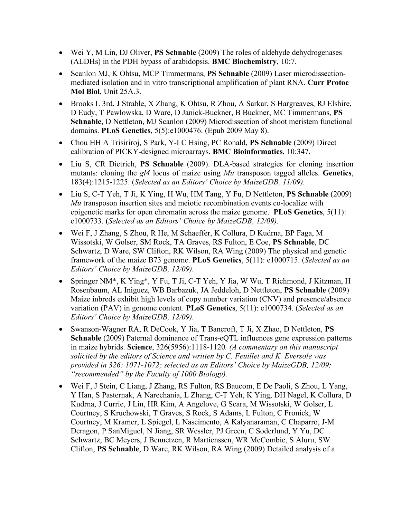- Wei Y, M Lin, DJ Oliver, **PS Schnable** (2009) The roles of aldehyde dehydrogenases (ALDHs) in the PDH bypass of arabidopsis. **BMC Biochemistry**, 10:7.
- Scanlon MJ, K Ohtsu, MCP Timmermans, **PS Schnable** (2009) Laser microdissectionmediated isolation and in vitro transcriptional amplification of plant RNA. **Curr Protoc Mol Biol**, Unit 25A.3.
- Brooks L 3rd, J Strable, X Zhang, K Ohtsu, R Zhou, A Sarkar, S Hargreaves, RJ Elshire, D Eudy, T Pawlowska, D Ware, D Janick-Buckner, B Buckner, MC Timmermans, **PS Schnable**, D Nettleton, MJ Scanlon (2009) Microdissection of shoot meristem functional domains. **PLoS Genetics**, 5(5):e1000476. (Epub 2009 May 8).
- Chou HH A Trisiriroj, S Park, Y-I C Hsing, PC Ronald, **PS Schnable** (2009) Direct calibration of PICKY-designed microarrays. **BMC Bioinformatics**, 10:347.
- Liu S, CR Dietrich, **PS Schnable** (2009). DLA-based strategies for cloning insertion mutants: cloning the *gl4* locus of maize using *Mu* transposon tagged alleles. **Genetics**, 183(4):1215-1225. (*Selected as an Editors' Choice by MaizeGDB, 11/09).*
- Liu S, C-T Yeh, T Ji, K Ying, H Wu, HM Tang, Y Fu, D Nettleton, **PS Schnable** (2009) *Mu* transposon insertion sites and meiotic recombination events co-localize with epigenetic marks for open chromatin across the maize genome. **PLoS Genetics**, 5(11): e1000733. (*Selected as an Editors' Choice by MaizeGDB, 12/09).*
- Wei F, J Zhang, S Zhou, R He, M Schaeffer, K Collura, D Kudrna, BP Faga, M Wissotski, W Golser, SM Rock, TA Graves, RS Fulton, E Coe, **PS Schnable**, DC Schwartz, D Ware, SW Clifton, RK Wilson, RA Wing (2009) The physical and genetic framework of the maize B73 genome. **PLoS Genetics**, 5(11): e1000715. (*Selected as an Editors' Choice by MaizeGDB, 12/09).*
- Springer NM\*, K Ying\*, Y Fu, T Ji, C-T Yeh, Y Jia, W Wu, T Richmond, J Kitzman, H Rosenbaum, AL Iniguez, WB Barbazuk, JA Jeddeloh, D Nettleton, **PS Schnable** (2009) Maize inbreds exhibit high levels of copy number variation (CNV) and presence/absence variation (PAV) in genome content. **PLoS Genetics**, 5(11): e1000734. (*Selected as an Editors' Choice by MaizeGDB, 12/09).*
- Swanson-Wagner RA, R DeCook, Y Jia, T Bancroft, T Ji, X Zhao, D Nettleton, **PS Schnable** (2009) Paternal dominance of Trans-eQTL influences gene expression patterns in maize hybrids. **Science**, 326(5956):1118-1120*. (A commentary on this manuscript solicited by the editors of Science and written by C. Feuillet and K. Eversole was provided in 326: 1071-1072; selected as an Editors' Choice by MaizeGDB, 12/09; "recommended" by the Faculty of 1000 Biology).*
- Wei F, J Stein, C Liang, J Zhang, RS Fulton, RS Baucom, E De Paoli, S Zhou, L Yang, Y Han, S Pasternak, A Narechania, L Zhang, C-T Yeh, K Ying, DH Nagel, K Collura, D Kudrna, J Currie, J Lin, HR Kim, A Angelove, G Scara, M Wissotski, W Golser, L Courtney, S Kruchowski, T Graves, S Rock, S Adams, L Fulton, C Fronick, W Courtney, M Kramer, L Spiegel, L Nascimento, A Kalyanaraman, C Chaparro, J-M Deragon, P SanMiguel, N Jiang, SR Wessler, PJ Green, C Soderlund, Y Yu, DC Schwartz, BC Meyers, J Bennetzen, R Martienssen, WR McCombie, S Aluru, SW Clifton, **PS Schnable**, D Ware, RK Wilson, RA Wing (2009) Detailed analysis of a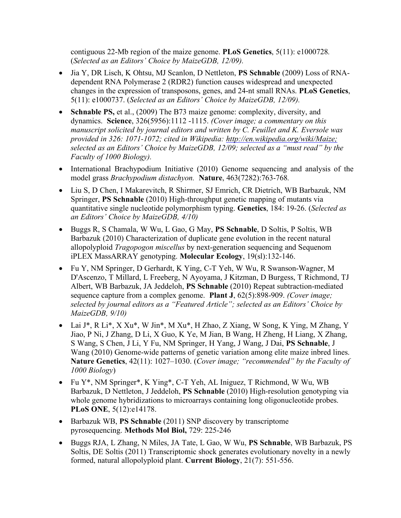contiguous 22-Mb region of the maize genome. **PLoS Genetics**, 5(11): e1000728*.*  (*Selected as an Editors' Choice by MaizeGDB, 12/09).*

- Jia Y, DR Lisch, K Ohtsu, MJ Scanlon, D Nettleton, **PS Schnable** (2009) Loss of RNAdependent RNA Polymerase 2 (RDR2) function causes widespread and unexpected changes in the expression of transposons, genes, and 24-nt small RNAs. **PLoS Genetics**, 5(11): e1000737. (*Selected as an Editors' Choice by MaizeGDB, 12/09).*
- **Schnable PS,** et al., (2009) The B73 maize genome: complexity, diversity, and dynamics. **Science**, 326(5956):1112 -1115. *(Cover image; a commentary on this manuscript solicited by journal editors and written by C. Feuillet and K. Eversole was provided in 326: 1071-1072; cited in Wikipedia: http://en.wikipedia.org/wiki/Maize; selected as an Editors' Choice by MaizeGDB, 12/09; selected as a "must read" by the Faculty of 1000 Biology).*
- International Brachypodium Initiative (2010) Genome sequencing and analysis of the model grass *Brachypodium distachyon.* **Nature**, 463(7282):763-768*.*
- Liu S, D Chen, I Makarevitch, R Shirmer, SJ Emrich, CR Dietrich, WB Barbazuk, NM Springer, **PS Schnable** (2010) High-throughput genetic mapping of mutants via quantitative single nucleotide polymorphism typing. **Genetics**, 184: 19-26. (*Selected as an Editors' Choice by MaizeGDB, 4/10)*
- Buggs R, S Chamala, W Wu, L Gao, G May, **PS Schnable**, D Soltis, P Soltis, WB Barbazuk (2010) Characterization of duplicate gene evolution in the recent natural allopolyploid *Tragopogon miscellus* by next-generation sequencing and Sequenom iPLEX MassARRAY genotyping. **Molecular Ecology**, 19(sl):132-146.
- Fu Y, NM Springer, D Gerhardt, K Ying, C-T Yeh, W Wu, R Swanson-Wagner, M D'Ascenzo, T Millard, L Freeberg, N Ayoyama, J Kitzman, D Burgess, T Richmond, TJ Albert, WB Barbazuk, JA Jeddeloh, **PS Schnable** (2010) Repeat subtraction-mediated sequence capture from a complex genome. **Plant J**, 62(5):898-909. *(Cover image; selected by journal editors as a "Featured Article"; selected as an Editors' Choice by MaizeGDB, 9/10)*
- Lai J\*, R Li\*, X Xu\*, W Jin\*, M Xu\*, H Zhao, Z Xiang, W Song, K Ying, M Zhang, Y Jiao, P Ni, J Zhang, D Li, X Guo, K Ye, M Jian, B Wang, H Zheng, H Liang, X Zhang, S Wang, S Chen, J Li, Y Fu, NM Springer, H Yang, J Wang, J Dai, **PS Schnable**, J Wang (2010) Genome-wide patterns of genetic variation among elite maize inbred lines. **Nature Genetics**, 42(11): 1027–1030. (*Cover image; "recommended" by the Faculty of 1000 Biology*)
- Fu Y<sup>\*</sup>, NM Springer<sup>\*</sup>, K Ying<sup>\*</sup>, C-T Yeh, AL Iniguez, T Richmond, W Wu, WB Barbazuk, D Nettleton, J Jeddeloh, **PS Schnable** (2010) High-resolution genotyping via whole genome hybridizations to microarrays containing long oligonucleotide probes. **PLoS ONE**, 5(12):e14178.
- Barbazuk WB, **PS Schnable** (2011) SNP discovery by transcriptome pyrosequencing. **Methods Mol Biol,** 729: 225-246
- Buggs RJA, L Zhang, N Miles, JA Tate, L Gao, W Wu, **PS Schnable**, WB Barbazuk, PS Soltis, DE Soltis (2011) Transcriptomic shock generates evolutionary novelty in a newly formed, natural allopolyploid plant. **Current Biology**, 21(7): 551-556.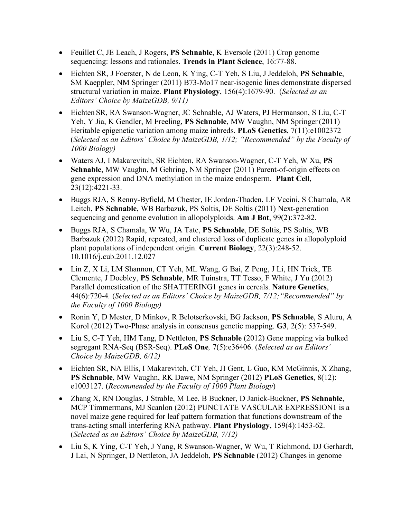- Feuillet C, JE Leach, J Rogers, **PS Schnable**, K Eversole (2011) Crop genome sequencing: lessons and rationales. **Trends in Plant Science**, 16:77-88.
- Eichten SR, J Foerster, N de Leon, K Ying, C-T Yeh, S Liu, J Jeddeloh, **PS Schnable**, SM Kaeppler, NM Springer (2011) B73-Mo17 near-isogenic lines demonstrate dispersed structural variation in maize. **Plant Physiology**, 156(4):1679-90. (*Selected as an Editors' Choice by MaizeGDB, 9/11)*
- Eichten SR, RA Swanson-Wagner, JC Schnable, AJ Waters, PJ Hermanson, S Liu, C-T Yeh, Y Jia, K Gendler, M Freeling, **PS Schnable**, MW Vaughn, NM Springer (2011) Heritable epigenetic variation among maize inbreds. **PLoS Genetics**, 7(11):e1002372 (*Selected as an Editors' Choice by MaizeGDB, 1/12; "Recommended" by the Faculty of 1000 Biology)*
- Waters AJ, I Makarevitch, SR Eichten, RA Swanson-Wagner, C-T Yeh, W Xu, **PS Schnable**, MW Vaughn, M Gehring, NM Springer (2011) Parent-of-origin effects on gene expression and DNA methylation in the maize endosperm. **Plant Cell**, 23(12):4221-33.
- Buggs RJA, S Renny-Byfield, M Chester, IE Jordon-Thaden, LF Vccini, S Chamala, AR Leitch, **PS Schnable**, WB Barbazuk, PS Soltis, DE Soltis (2011) Next-generation sequencing and genome evolution in allopolyploids. **Am J Bot**, 99(2):372-82.
- Buggs RJA, S Chamala, W Wu, JA Tate, **PS Schnable**, DE Soltis, PS Soltis, WB Barbazuk (2012) Rapid, repeated, and clustered loss of duplicate genes in allopolyploid plant populations of independent origin. **Current Biology**, 22(3):248-52. 10.1016/j.cub.2011.12.027
- Lin Z, X Li, LM Shannon, CT Yeh, ML Wang, G Bai, Z Peng, J Li, HN Trick, TE Clemente, J Doebley, **PS Schnable**, MR Tuinstra, TT Tesso, F White, J Yu (2012) Parallel domestication of the SHATTERING1 genes in cereals. **Nature Genetics**, 44(6):720-4*.* (*Selected as an Editors' Choice by MaizeGDB, 7/12;"Recommended" by the Faculty of 1000 Biology)*
- Ronin Y, D Mester, D Minkov, R Belotserkovski, BG Jackson, **PS Schnable**, S Aluru, A Korol (2012) Two-Phase analysis in consensus genetic mapping. **G3**, 2(5): 537-549.
- Liu S, C-T Yeh, HM Tang, D Nettleton, **PS Schnable** (2012) Gene mapping via bulked segregant RNA-Seq (BSR-Seq). **PLoS One***,* 7(5):e36406. (*Selected as an Editors' Choice by MaizeGDB, 6/12)*
- Eichten SR, NA Ellis, I Makarevitch, CT Yeh, JI Gent, L Guo, KM McGinnis, X Zhang, **PS Schnable**, MW Vaughn, RK Dawe, NM Springer (2012) **PLoS Genetics**, 8(12): e1003127. (*Recommended by the Faculty of 1000 Plant Biology*)
- Zhang X, RN Douglas, J Strable, M Lee, B Buckner, D Janick-Buckner, **PS Schnable**, MCP Timmermans, MJ Scanlon (2012) PUNCTATE VASCULAR EXPRESSION1 is a novel maize gene required for leaf pattern formation that functions downstream of the trans-acting small interfering RNA pathway. **Plant Physiology**, 159(4):1453-62. (*Selected as an Editors' Choice by MaizeGDB, 7/12)*
- Liu S, K Ying, C-T Yeh, J Yang, R Swanson-Wagner, W Wu, T Richmond, DJ Gerhardt, J Lai, N Springer, D Nettleton, JA Jeddeloh, **PS Schnable** (2012) Changes in genome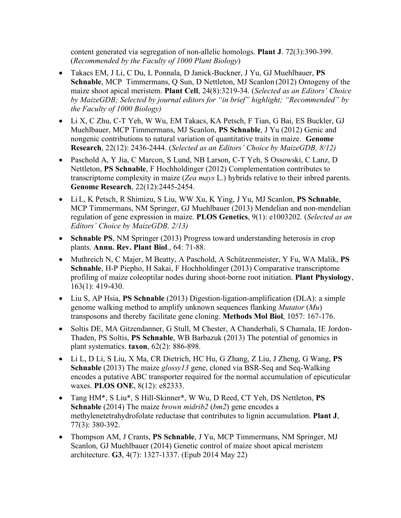content generated via segregation of non-allelic homologs. **Plant J**. 72(3):390-399. (*Recommended by the Faculty of 1000 Plant Biology*)

- Takacs EM, J Li, C Du, L Ponnala, D Janick-Buckner, J Yu, GJ Muehlbauer, **PS Schnable**, MCP Timmermans, Q Sun, D Nettleton, MJ Scanlon (2012) Ontogeny of the maize shoot apical meristem. **Plant Cell**, 24(8):3219-34. (*Selected as an Editors' Choice by MaizeGDB; Selected by journal editors for "in brief" highlight; "Recommended" by the Faculty of 1000 Biology)*
- Li X, C Zhu, C-T Yeh, W Wu, EM Takacs, KA Petsch, F Tian, G Bai, ES Buckler, GJ Muehlbauer, MCP Timmermans, MJ Scanlon, **PS Schnable**, J Yu (2012) Genic and nongenic contributions to natural variation of quantitative traits in maize. **Genome Research**, 22(12): 2436-2444. (*Selected as an Editors' Choice by MaizeGDB, 8/12)*
- Paschold A, Y Jia, C Marcon, S Lund, NB Larson, C-T Yeh, S Ossowski, C Lanz, D Nettleton, **PS Schnable**, F Hochholdinger (2012) Complementation contributes to transcriptome complexity in maize (*Zea mays* L.) hybrids relative to their inbred parents. **Genome Research**, 22(12):2445-2454.
- Li L, K Petsch, R Shimizu, S Liu, WW Xu, K Ying, J Yu, MJ Scanlon, **PS Schnable**, MCP Timmermans, NM Springer, GJ Muehlbauer (2013) Mendelian and non-mendelian regulation of gene expression in maize. **PLOS Genetics**, 9(1): e1003202*.* (*Selected as an Editors' Choice by MaizeGDB, 2/13)*
- **Schnable PS**, NM Springer (2013) Progress toward understanding heterosis in crop plants. **Annu. Rev. Plant Biol**., 64: 71-88.
- Muthreich N, C Majer, M Beatty, A Paschold, A Schützenmeister, Y Fu, WA Malik, **PS Schnable**, H-P Piepho, H Sakai, F Hochholdinger (2013) Comparative transcriptome profiling of maize coleoptilar nodes during shoot-borne root initiation. **Plant Physiology**, 163(1): 419-430.
- Liu S, AP Hsia, **PS Schnable** (2013) Digestion-ligation-amplification (DLA): a simple genome walking method to amplify unknown sequences flanking *Mutator* (*Mu*) transposons and thereby facilitate gene cloning. **Methods Mol Biol**, 1057: 167-176.
- Soltis DE, MA Gitzendanner, G Stull, M Chester, A Chanderbali, S Chamala, IE Jordon-Thaden, PS Soltis, **PS Schnable**, WB Barbazuk (2013) The potential of genomics in plant systematics. **taxon**, 62(2): 886-898.
- Li L, D Li, S Liu, X Ma, CR Dietrich, HC Hu, G Zhang, Z Liu, J Zheng, G Wang, **PS Schnable** (2013) The maize *glossy13* gene, cloned via BSR-Seq and Seq-Walking encodes a putative ABC transporter required for the normal accumulation of epicuticular waxes. **PLOS ONE**, 8(12): e82333.
- Tang HM\*, S Liu\*, S Hill-Skinner\*, W Wu, D Reed, CT Yeh, DS Nettleton, **PS Schnable** (2014) The maize *brown midrib2* (*bm2*) gene encodes a methylenetetrahydrofolate reductase that contributes to lignin accumulation. **Plant J**, 77(3): 380-392.
- Thompson AM, J Crants, **PS Schnable**, J Yu, MCP Timmermans, NM Springer, MJ Scanlon, GJ Muehlbauer (2014) Genetic control of maize shoot apical meristem architecture. **G3**, 4(7): 1327-1337. (Epub 2014 May 22)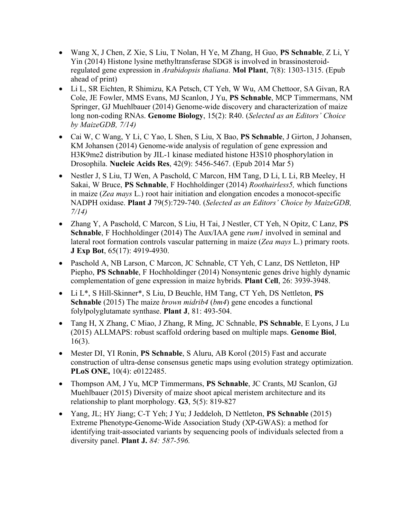- Wang X, J Chen, Z Xie, S Liu, T Nolan, H Ye, M Zhang, H Guo, **PS Schnable**, Z Li, Y Yin (2014) Histone lysine methyltransferase SDG8 is involved in brassinosteroidregulated gene expression in *Arabidopsis thaliana*. **Mol Plant**, 7(8): 1303-1315. (Epub ahead of print)
- Li L, SR Eichten, R Shimizu, KA Petsch, CT Yeh, W Wu, AM Chettoor, SA Givan, RA Cole, JE Fowler, MMS Evans, MJ Scanlon, J Yu, **PS Schnable**, MCP Timmermans, NM Springer, GJ Muehlbauer (2014) Genome-wide discovery and characterization of maize long non-coding RNAs. **Genome Biology**, 15(2): R40. (*Selected as an Editors' Choice by MaizeGDB, 7/14)*
- Cai W, C Wang, Y Li, C Yao, L Shen, S Liu, X Bao, **PS Schnable**, J Girton, J Johansen, KM Johansen (2014) Genome-wide analysis of regulation of gene expression and H3K9me2 distribution by JIL-1 kinase mediated histone H3S10 phosphorylation in Drosophila. **Nucleic Acids Res**, 42(9): 5456-5467. (Epub 2014 Mar 5)
- Nestler J, S Liu, TJ Wen, A Paschold, C Marcon, HM Tang, D Li, L Li, RB Meeley, H Sakai, W Bruce, **PS Schnable**, F Hochholdinger (2014) *Roothairless5,* which functions in maize (*Zea mays* L.) root hair initiation and elongation encodes a monocot-specific NADPH oxidase. **Plant J** 79(5):729-740. (*Selected as an Editors' Choice by MaizeGDB, 7/14)*
- Zhang Y, A Paschold, C Marcon, S Liu, H Tai, J Nestler, CT Yeh, N Opitz, C Lanz, **PS Schnable**, F Hochholdinger (2014) The Aux/IAA gene *rum1* involved in seminal and lateral root formation controls vascular patterning in maize (*Zea mays* L.) primary roots. **J Exp Bot**, 65(17): 4919-4930.
- Paschold A, NB Larson, C Marcon, JC Schnable, CT Yeh, C Lanz, DS Nettleton, HP Piepho, **PS Schnable**, F Hochholdinger (2014) Nonsyntenic genes drive highly dynamic complementation of gene expression in maize hybrids. **Plant Cell**, 26: 3939-3948.
- Li L\*, S Hill-Skinner\*, S Liu, D Beuchle, HM Tang, CT Yeh, DS Nettleton, **PS Schnable** (2015) The maize *brown midrib4* (*bm4*) gene encodes a functional folylpolyglutamate synthase. **Plant J**, 81: 493-504.
- Tang H, X Zhang, C Miao, J Zhang, R Ming, JC Schnable, **PS Schnable**, E Lyons, J Lu (2015) ALLMAPS: robust scaffold ordering based on multiple maps. **Genome Biol**, 16(3).
- Mester DI, YI Ronin, **PS Schnable**, S Aluru, AB Korol (2015) Fast and accurate construction of ultra-dense consensus genetic maps using evolution strategy optimization. **PLoS ONE,** 10(4): e0122485.
- Thompson AM, J Yu, MCP Timmermans, **PS Schnable**, JC Crants, MJ Scanlon, GJ Muehlbauer (2015) Diversity of maize shoot apical meristem architecture and its relationship to plant morphology. **G3**, 5(5): 819-827
- Yang, JL; HY Jiang; C-T Yeh; J Yu; J Jeddeloh, D Nettleton, **PS Schnable** (2015) Extreme Phenotype-Genome-Wide Association Study (XP-GWAS): a method for identifying trait-associated variants by sequencing pools of individuals selected from a diversity panel. **Plant J.** *84: 587-596.*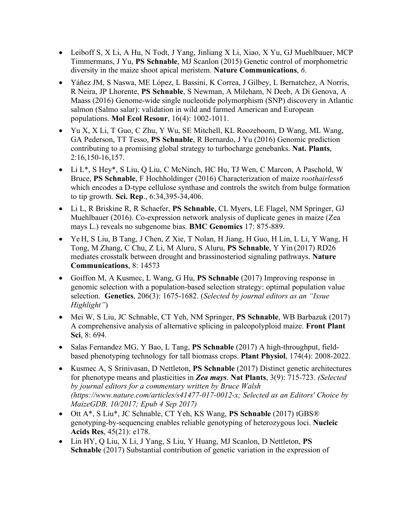- Leiboff S, X Li, A Hu, N Todt, J Yang, Jinliang X Li, Xiao, X Yu, GJ Muehlbauer, MCP Timmermans, J Yu, **PS Schnable**, MJ Scanlon (2015) Genetic control of morphometric diversity in the maize shoot apical meristem. **Nature Communications**, *6*.
- Yáñez JM, S Naswa, ME López, L Bassini, K Correa, J Gilbey, L Bernatchez, A Norris, R Neira, JP Lhorente, **PS Schnable**, S Newman, A Mileham, N Deeb, A Di Genova, A Maass (2016) Genome-wide single nucleotide polymorphism (SNP) discovery in Atlantic salmon (Salmo salar): validation in wild and farmed American and European populations. **Mol Ecol Resour**, 16(4): 1002-1011.
- Yu X, X Li, T Guo, C Zhu, Y Wu, SE Mitchell, KL Roozeboom, D Wang, ML Wang, GA Pederson, TT Tesso, **PS Schnable**, R Bernardo, J Yu (2016) Genomic prediction contributing to a promising global strategy to turbocharge genebanks. **Nat. Plants**, 2:16,150-16,157.
- Li L\*, S Hey\*, S Liu, Q Liu, C McNinch, HC Hu, TJ Wen, C Marcon, A Paschold, W Bruce, **PS Schnable**, F Hochholdinger (2016) Characterization of maize *roothairless6* which encodes a D-type cellulose synthase and controls the switch from bulge formation to tip growth. **Sci. Rep**., 6:34,395-34,406.
- Li L, R Briskine R, R Schaefer, **PS Schnable**, CL Myers, LE Flagel, NM Springer, GJ Muehlbauer (2016). Co-expression network analysis of duplicate genes in maize (Zea mays L.) reveals no subgenome bias. **BMC Genomics** 17: 875-889.
- Ye H, S Liu, B Tang, J Chen, Z Xie, T Nolan, H Jiang, H Guo, H Lin, L Li, Y Wang, H Tong, M Zhang, C Chu, Z Li, M Aluru, S Aluru, **PS Schnable**, Y Yin (2017) RD26 mediates crosstalk between drought and brassinosteriod signaling pathways. **Nature Communications**, 8: 14573
- Goiffon M, A Kusmec, L Wang, G Hu, **PS Schnable** (2017) Improving response in genomic selection with a population-based selection strategy: optimal population value selection. **Genetics**, 206(3): 1675-1682. (*Selected by journal editors as an "Issue Highlight"*)
- Mei W, S Liu, JC Schnable, CT Yeh, NM Springer, **PS Schnable**, WB Barbazuk (2017) A comprehensive analysis of alternative splicing in paleopolyploid maize. **Front Plant Sci**, 8: 694.
- Salas Fernandez MG, Y Bao, L Tang, **PS Schnable** (2017) A high-throughput, fieldbased phenotyping technology for tall biomass crops. **Plant Physiol**, 174(4): 2008-2022.
- Kusmec A, S Srinivasan, D Nettleton, **PS Schnable** (2017) Distinct genetic architectures for phenotype means and plasticities in *Zea mays*. **Nat Plants**, 3(9): 715-723. *(Selected by journal editors for a commentary written by Bruce Walsh (https://www.nature.com/articles/s41477-017-0012-x; Selected as an Editors' Choice by MaizeGDB, 10/2017; Epub 4 Sep 2017)*
- Ott A\*, S Liu\*, JC Schnable, CT Yeh, KS Wang, **PS Schnable** (2017) tGBS® genotyping-by-sequencing enables reliable genotyping of heterozygous loci. **Nucleic Acids Res**, 45(21): e178.
- Lin HY, Q Liu, X Li, J Yang, S Liu, Y Huang, MJ Scanlon, D Nettleton, **PS Schnable** (2017) Substantial contribution of genetic variation in the expression of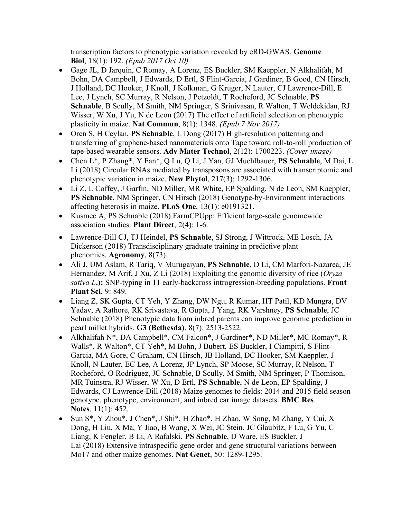transcription factors to phenotypic variation revealed by eRD-GWAS. **Genome Biol**, 18(1): 192. *(Epub 2017 Oct 10)*

- Gage JL, D Jarquin, C Romay, A Lorenz, ES Buckler, SM Kaeppler, N Alkhalifah, M Bohn, DA Campbell, J Edwards, D Ertl, S Flint-Garcia, J Gardiner, B Good, CN Hirsch, J Holland, DC Hooker, J Knoll, J Kolkman, G Kruger, N Lauter, CJ Lawrence-Dill, E Lee, J Lynch, SC Murray, R Nelson, J Petzoldt, T Rocheford, JC Schnable, **PS Schnable**, B Scully, M Smith, NM Springer, S Srinivasan, R Walton, T Weldekidan, RJ Wisser, W Xu, J Yu, N de Leon (2017) The effect of artificial selection on phenotypic plasticity in maize. **Nat Commun**, 8(1): 1348. *(Epub 7 Nov 2017)*
- Oren S, H Ceylan, **PS Schnable**, L Dong (2017) High-resolution patterning and transferring of graphene-based nanomaterials onto Tape toward roll-to-roll production of tape-based wearable sensors. **Adv Mater Technol**, 2(12): 1700223. *(Cover image)*
- Chen L\*, P Zhang\*, Y Fan\*, Q Lu, Q Li, J Yan, GJ Muehlbauer, **PS Schnable**, M Dai, L Li (2018) Circular RNAs mediated by transposons are associated with transcriptomic and phenotypic variation in maize. **New Phytol**, 217(3): 1292-1306.
- Li Z, L Coffey, J Garfin, ND Miller, MR White, EP Spalding, N de Leon, SM Kaeppler, **PS Schnable**, NM Springer, CN Hirsch (2018) Genotype-by-Environment interactions affecting heterosis in maize. **PLoS One**, 13(1): e0191321.
- Kusmec A, PS Schnable (2018) FarmCPUpp: Efficient large-scale genomewide association studies. **Plant Direct**, 2(4): 1-6.
- Lawrence-Dill CJ, TJ Heindel, **PS Schnable**, SJ Strong, J Wittrock, ME Losch, JA Dickerson (2018) Transdisciplinary graduate training in predictive plant phenomics. **Agronomy**, 8(73).
- Ali J, UM Aslam, R Tariq, V Murugaiyan, **PS Schnable**, D Li, CM Marfori-Nazarea, JE Hernandez, M Arif, J Xu, Z Li (2018) Exploiting the genomic diversity of rice (*Oryza sativa L***.):** SNP-typing in 11 early-backcross introgression-breeding populations. **Front Plant Sci**, 9: 849.
- Liang Z, SK Gupta, CT Yeh, Y Zhang, DW Ngu, R Kumar, HT Patil, KD Mungra, DV Yadav, A Rathore, RK Srivastava, R Gupta, J Yang, RK Varshney, **PS Schnable**, JC Schnable (2018) Phenotypic data from inbred parents can improve genomic prediction in pearl millet hybrids. **G3 (Bethesda)**, 8(7): 2513-2522.
- Alkhalifah N\*, DA Campbell\*, CM Falcon\*, J Gardiner\*, ND Miller\*, MC Romay\*, R Walls\*, R Walton\*, CT Yeh\*, M Bohn, J Bubert, ES Buckler, I Ciampitti, S Flint-Garcia, MA Gore, C Graham, CN Hirsch, JB Holland, DC Hooker, SM Kaeppler, J Knoll, N Lauter, EC Lee, A Lorenz, JP Lynch, SP Moose, SC Murray, R Nelson, T Rocheford, O Rodriguez, JC Schnable, B Scully, M Smith, NM Springer, P Thomison, MR Tuinstra, RJ Wisser, W Xu, D Ertl, **PS Schnable**, N de Leon, EP Spalding, J Edwards, CJ Lawrence-Dill (2018) Maize genomes to fields: 2014 and 2015 field season genotype, phenotype, environment, and inbred ear image datasets. **BMC Res Notes**, 11(1): 452.
- Sun S<sup>\*</sup>, Y Zhou<sup>\*</sup>, J Chen<sup>\*</sup>, J Shi<sup>\*</sup>, H Zhao<sup>\*</sup>, H Zhao, W Song, M Zhang, Y Cui, X Dong, H Liu, X Ma, Y Jiao, B Wang, X Wei, JC Stein, JC Glaubitz, F Lu, G Yu, C Liang, K Fengler, B Li, A Rafalski, **PS Schnable**, D Ware, ES Buckler, J Lai (2018) Extensive intraspecific gene order and gene structural variations between Mo17 and other maize genomes. **Nat Genet**, 50: 1289-1295.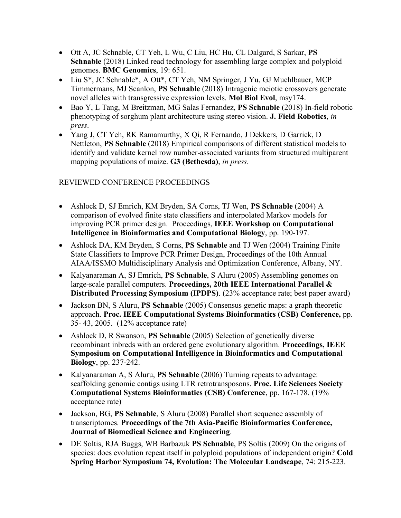- Ott A, JC Schnable, CT Yeh, L Wu, C Liu, HC Hu, CL Dalgard, S Sarkar, **PS Schnable** (2018) Linked read technology for assembling large complex and polyploid genomes. **BMC Genomics**, 19: 651.
- Liu S<sup>\*</sup>, JC Schnable<sup>\*</sup>, A Ott<sup>\*</sup>, CT Yeh, NM Springer, J Yu, GJ Muehlbauer, MCP Timmermans, MJ Scanlon, **PS Schnable** (2018) Intragenic meiotic crossovers generate novel alleles with transgressive expression levels. **Mol Biol Evol**, msy174.
- Bao Y, L Tang, M Breitzman, MG Salas Fernandez, **PS Schnable** (2018) In-field robotic phenotyping of sorghum plant architecture using stereo vision. **J. Field Robotics**, *in press*.
- Yang J, CT Yeh, RK Ramamurthy, X Qi, R Fernando, J Dekkers, D Garrick, D Nettleton, **PS Schnable** (2018) Empirical comparisons of different statistical models to identify and validate kernel row number-associated variants from structured multiparent mapping populations of maize. **G3 (Bethesda)**, *in press*.

## REVIEWED CONFERENCE PROCEEDINGS

- Ashlock D, SJ Emrich, KM Bryden, SA Corns, TJ Wen, **PS Schnable** (2004) A comparison of evolved finite state classifiers and interpolated Markov models for improving PCR primer design. Proceedings, **IEEE Workshop on Computational Intelligence in Bioinformatics and Computational Biology**, pp. 190-197.
- Ashlock DA, KM Bryden, S Corns, **PS Schnable** and TJ Wen (2004) Training Finite State Classifiers to Improve PCR Primer Design, Proceedings of the 10th Annual AIAA/ISSMO Multidisciplinary Analysis and Optimization Conference, Albany, NY.
- Kalyanaraman A, SJ Emrich, **PS Schnable**, S Aluru (2005) Assembling genomes on large-scale parallel computers. **Proceedings, 20th IEEE International Parallel & Distributed Processing Symposium (IPDPS)**. (23% acceptance rate; best paper award)
- Jackson BN, S Aluru, **PS Schnable** (2005) Consensus genetic maps: a graph theoretic approach. **Proc. IEEE Computational Systems Bioinformatics (CSB) Conference,** pp. 35- 43, 2005. (12% acceptance rate)
- Ashlock D, R Swanson, **PS Schnable** (2005) Selection of genetically diverse recombinant inbreds with an ordered gene evolutionary algorithm. **Proceedings, IEEE Symposium on Computational Intelligence in Bioinformatics and Computational Biology**, pp. 237-242.
- Kalyanaraman A, S Aluru, **PS Schnable** (2006) Turning repeats to advantage: scaffolding genomic contigs using LTR retrotransposons. **Proc. Life Sciences Society Computational Systems Bioinformatics (CSB) Conference**, pp. 167-178. (19% acceptance rate)
- Jackson, BG, **PS Schnable**, S Aluru (2008) Parallel short sequence assembly of transcriptomes. **Proceedings of the 7th Asia-Pacific Bioinformatics Conference, Journal of Biomedical Science and Engineering**.
- DE Soltis, RJA Buggs, WB Barbazuk **PS Schnable**, PS Soltis (2009) On the origins of species: does evolution repeat itself in polyploid populations of independent origin? **Cold Spring Harbor Symposium 74, Evolution: The Molecular Landscape**, 74: 215-223.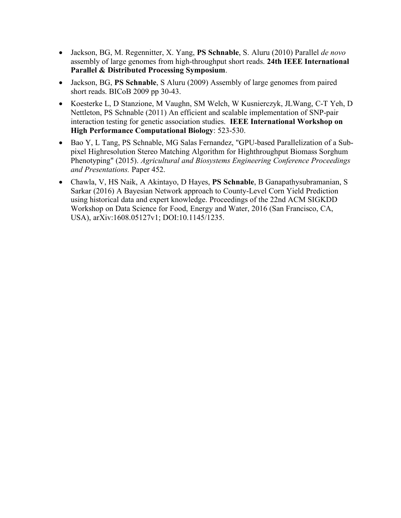- Jackson, BG, M. Regennitter, X. Yang, **PS Schnable**, S. Aluru (2010) Parallel *de novo* assembly of large genomes from high-throughput short reads. **24th IEEE International Parallel & Distributed Processing Symposium**.
- Jackson, BG, **PS Schnable**, S Aluru (2009) Assembly of large genomes from paired short reads. BICoB 2009 pp 30-43.
- Koesterke L, D Stanzione, M Vaughn, SM Welch, W Kusnierczyk, JLWang, C-T Yeh, D Nettleton, PS Schnable (2011) An efficient and scalable implementation of SNP-pair interaction testing for genetic association studies. **IEEE International Workshop on High Performance Computational Biology**: 523-530.
- Bao Y, L Tang, PS Schnable, MG Salas Fernandez, "GPU-based Parallelization of a Subpixel Highresolution Stereo Matching Algorithm for Highthroughput Biomass Sorghum Phenotyping" (2015). *Agricultural and Biosystems Engineering Conference Proceedings and Presentations.* Paper 452.
- Chawla, V, HS Naik, A Akintayo, D Hayes, **PS Schnable**, B Ganapathysubramanian, S Sarkar (2016) A Bayesian Network approach to County-Level Corn Yield Prediction using historical data and expert knowledge. Proceedings of the 22nd ACM SIGKDD Workshop on Data Science for Food, Energy and Water, 2016 (San Francisco, CA, USA), arXiv:1608.05127v1; DOI:10.1145/1235.